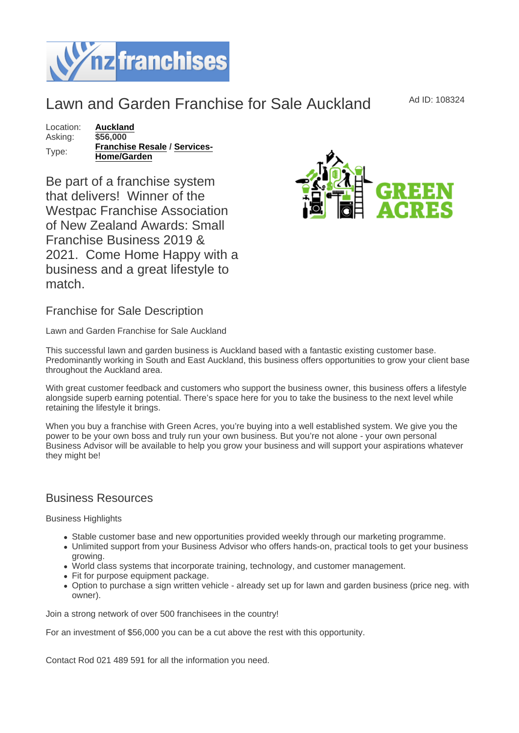## Lawn and Garden Franchise for Sale Auckland Ad ID: 108324

Location: [Auckland](https://www.nzfranchises.co.nz/franchises-for-sale/location/Auckland) Asking: \$56,000 Type: [Franchise Resale](https://www.nzfranchises.co.nz/franchises-for-sale/Franchise-Resale/New-Zealand) / [Services-](https://www.nzfranchises.co.nz/franchises-for-sale/Services-Home--Garden/New-Zealand)[Home/Garden](https://www.nzfranchises.co.nz/franchises-for-sale/Services-Home--Garden/New-Zealand)

Be part of a franchise system that delivers! Winner of the Westpac Franchise Association of New Zealand Awards: Small Franchise Business 2019 & 2021. Come Home Happy with a business and a great lifestyle to match.

Franchise for Sale Description

Lawn and Garden Franchise for Sale Auckland

This successful lawn and garden business is Auckland based with a fantastic existing customer base. Predominantly working in South and East Auckland, this business offers opportunities to grow your client base throughout the Auckland area.

With great customer feedback and customers who support the business owner, this business offers a lifestyle alongside superb earning potential. There's space here for you to take the business to the next level while retaining the lifestyle it brings.

When you buy a franchise with Green Acres, you're buying into a well established system. We give you the power to be your own boss and truly run your own business. But you're not alone - your own personal Business Advisor will be available to help you grow your business and will support your aspirations whatever they might be!

## Business Resources

Business Highlights

- Stable customer base and new opportunities provided weekly through our marketing programme.
- Unlimited support from your Business Advisor who offers hands-on, practical tools to get your business growing.
- World class systems that incorporate training, technology, and customer management.
- Fit for purpose equipment package.
- Option to purchase a sign written vehicle already set up for lawn and garden business (price neg. with owner).

Join a strong network of over 500 franchisees in the country!

For an investment of \$56,000 you can be a cut above the rest with this opportunity.

Contact Rod 021 489 591 for all the information you need.